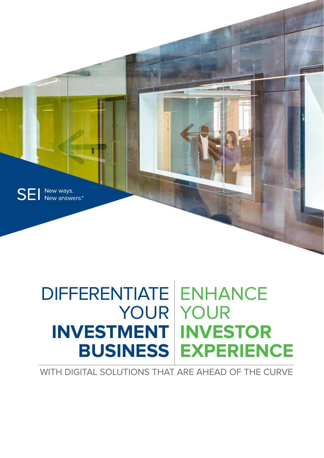

## DIFFERENTIATE ENHANCE YOUR YOUR **INVESTMENT INVESTOR BUSINESS EXPERIENCE**

WITH DIGITAL SOLUTIONS THAT ARE AHEAD OF THE CURVE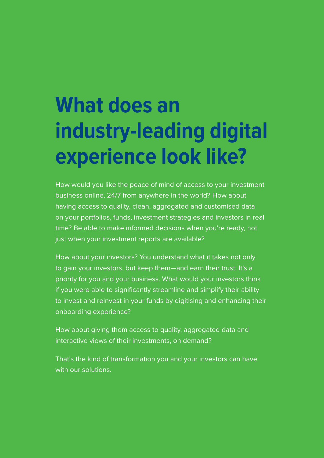# **What does an industry-leading digital experience look like?**

How would you like the peace of mind of access to your investment business online, 24/7 from anywhere in the world? How about having access to quality, clean, aggregated and customised data on your portfolios, funds, investment strategies and investors in real time? Be able to make informed decisions when you're ready, not just when your investment reports are available?

How about your investors? You understand what it takes not only to gain your investors, but keep them—and earn their trust. It's a priority for you and your business. What would your investors think if you were able to significantly streamline and simplify their ability to invest and reinvest in your funds by digitising and enhancing their onboarding experience?

How about giving them access to quality, aggregated data and interactive views of their investments, on demand?

That's the kind of transformation you and your investors can have with our solutions.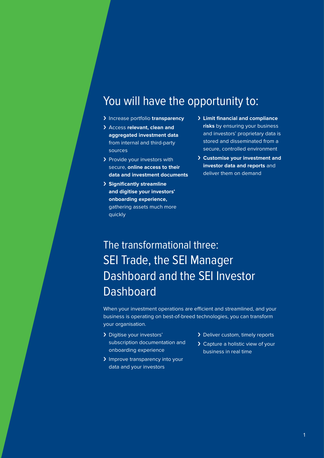### You will have the opportunity to:

- › Increase portfolio **transparency**
- › Access **relevant, clean and aggregated investment data** from internal and third-party sources
- > Provide your investors with secure, **online access to their data and investment documents**
- › **Significantly streamline and digitise your investors' onboarding experience,** gathering assets much more quickly
- › **Limit financial and compliance risks** by ensuring your business and investors' proprietary data is stored and disseminated from a secure, controlled environment
- › **Customise your investment and investor data and reports** and deliver them on demand

### The transformational three: SEI Trade, the SEI Manager Dashboard and the SEI Investor Dashboard

When your investment operations are efficient and streamlined, and your business is operating on best-of-breed technologies, you can transform your organisation.

- › Digitise your investors' subscription documentation and onboarding experience
- > Improve transparency into your data and your investors
- > Deliver custom, timely reports
- > Capture a holistic view of your business in real time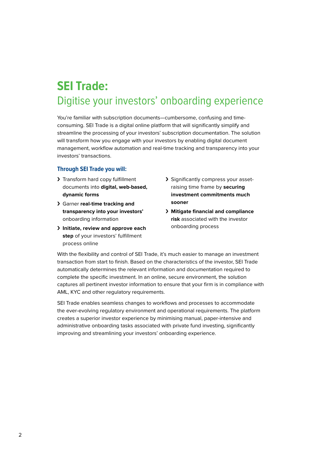### **SEI Trade:**  Digitise your investors' onboarding experience

You're familiar with subscription documents—cumbersome, confusing and timeconsuming. SEI Trade is a digital online platform that will significantly simplify and streamline the processing of your investors' subscription documentation. The solution will transform how you engage with your investors by enabling digital document management, workflow automation and real-time tracking and transparency into your investors' transactions.

#### **Through SEI Trade you will:**

- > Transform hard copy fulfillment documents into **digital, web-based, dynamic forms**
- › Garner **real-time tracking and transparency into your investors'** onboarding information
- › **Initiate, review and approve each step** of your investors' fulfillment process online
- › Significantly compress your assetraising time frame by **securing investment commitments much sooner**
- › **Mitigate financial and compliance risk** associated with the investor onboarding process

With the flexibility and control of SEI Trade, it's much easier to manage an investment transaction from start to finish. Based on the characteristics of the investor, SEI Trade automatically determines the relevant information and documentation required to complete the specific investment. In an online, secure environment, the solution captures all pertinent investor information to ensure that your firm is in compliance with AML, KYC and other regulatory requirements.

SEI Trade enables seamless changes to workflows and processes to accommodate the ever-evolving regulatory environment and operational requirements. The platform creates a superior investor experience by minimising manual, paper-intensive and administrative onboarding tasks associated with private fund investing, significantly improving and streamlining your investors' onboarding experience.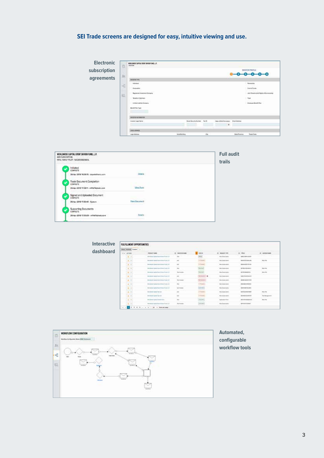### **SEI Trade screens are designed for easy, intuitive viewing and use.**

| <b>Electronic</b> | 且              | WORLDWIDE CAPTIN, EVENT DRIVER FUND, L.P.<br>SANDWOOD AND THE SANDALISM COMPANY |                      |                            |    |                                                  |                     |                                       |
|-------------------|----------------|---------------------------------------------------------------------------------|----------------------|----------------------------|----|--------------------------------------------------|---------------------|---------------------------------------|
| subscription      | 3x             |                                                                                 |                      |                            |    |                                                  |                     | MATSTON PROFESSI<br>$-0-0-0$          |
| agreements        |                | per user                                                                        |                      |                            |    |                                                  |                     |                                       |
|                   | $\overline{c}$ | <b>Indexton</b>                                                                 |                      |                            |    |                                                  |                     | Permanental                           |
|                   |                | Carporatory                                                                     |                      |                            |    |                                                  |                     | <b><i>Variet Marine</i></b>           |
|                   |                | <b>Registered Investment Environity</b>                                         |                      |                            |    |                                                  |                     | date bearing just Highs of Econometer |
|                   | 启              | Telefic & Garmen                                                                |                      |                            |    |                                                  |                     | 1 Tool                                |
|                   |                | London Learning Company                                                         |                      |                            |    |                                                  |                     | <b>Income Seatt Part</b>              |
|                   |                | Borott For Type                                                                 |                      |                            |    |                                                  |                     |                                       |
|                   |                | <b><i>AN/OZODA INFORMATION</i></b>                                              |                      |                            |    |                                                  |                     |                                       |
|                   |                | <b>Greater Legal Barrier</b>                                                    |                      | Book Secrity Normal  built |    | <b>Day of Britishermann</b> : \$140 Motives<br>× |                     |                                       |
|                   |                |                                                                                 |                      |                            |    |                                                  |                     |                                       |
|                   |                | <b>ISSA ATMINI</b>                                                              |                      |                            |    |                                                  |                     |                                       |
|                   |                | <b>Light Boldway</b>                                                            | <b>Bulletilaling</b> |                            | o. |                                                  | <b>Bala Promise</b> | <b>Point Calls</b>                    |

|                     | <b>Full audit</b><br>trails |
|---------------------|-----------------------------|
|                     |                             |
| <b>Cleballs</b>     |                             |
|                     |                             |
| <b>Vira Farm</b>    |                             |
|                     |                             |
| <b>New Document</b> |                             |
|                     |                             |
|                     |                             |
|                     |                             |

| <b>Interactive</b> | FULFILLMENT OPPORTUNITIES             |                                            |                                |                                                                    |                          |                                         |                |
|--------------------|---------------------------------------|--------------------------------------------|--------------------------------|--------------------------------------------------------------------|--------------------------|-----------------------------------------|----------------|
|                    | Allie (Allisa) Subert                 |                                            |                                |                                                                    |                          |                                         |                |
| dashboard          | $= 1.62586$                           | <b>HIGHLEY MAKE</b><br><b>STATISTICS</b>   | A: WIEDLAME                    | <b>STREE</b>                                                       | 4 MARCON                 | 5. 104.5                                | AL ADVISANCE   |
|                    | (1, 1)                                | Sections lives four-term Auto LA           | <b>Note</b>                    | <b>COL</b><br>-                                                    | <b>New School Street</b> | <b>SALIMETICAL</b>                      |                |
|                    | $-4 - 4$<br>-----                     | Newtown dealer form three first 1.4        | 44                             | <b>School</b>                                                      | Well-kellenderein        | <b><i>SELECTRONICAL</i></b>             | Mar Wa         |
|                    | $-8.1$                                | - Benites A Costa Insertio act Ca & Life   | main                           | <b>STATISTICS</b><br><b>START</b><br><b>Contract Contract</b>      | <b>But Ashmend</b>       | <b>BANKER</b> IS THE                    |                |
|                    | $\pm$ . $\pm$                         | Secondary Capital Associations Inside L.A. | w                              | <b>LENDIN</b><br><b>Business</b><br><b>College College</b>         | Not bearing              | <b>APPROXIMATELY</b>                    | <b>Marine</b>  |
|                    | $-10^{14}$                            | Secondar trades four-tenan Auto L.A.       | <b>Submode</b>                 | SS.                                                                | Salvator                 | <b>GATERIZATION</b>                     | Mar Por        |
|                    | me C<br>$-4 - 4$<br><b>Experience</b> | Nevidendo claste francisco frage fra 2 (4) | 44                             | $\frac{1}{2}$                                                      | Well-kelleysterin        | 141101010401                            |                |
|                    | $-8.4$                                | - Benimali Guita Insertings Fak Life       | <b>The company</b>             | نست                                                                | <b>But Ashmend</b>       | 0000100333                              |                |
|                    | $\bullet$ . $\bullet$                 | December Carlo Hourthand Fack LA           | w                              | <b>College</b><br><b>Contract Contract</b>                         | Not deposited            | <b>Januari meni</b>                     |                |
|                    | $100 - 10$                            | Secondar traiter from three Auto L.A.      | <b>WAS SHOWN</b>               | $\frac{1}{2}$<br>---                                               | <b>Salvator</b>          | <b>GEOFFERD IN AND</b>                  |                |
|                    | n C<br>$-4 - 4$<br><b>Contractor</b>  | Sectionals Early Technical                 | 44                             | _____<br><b>School</b>                                             | Well-kelleystering       | <b><i><u>SAFEAR MONTHS</u></i></b>      | May 10p.       |
|                    | $-8.4$                                | because have been                          | $\sim$                         | <b>STATISTICS</b><br><b>STATISTICS</b><br><b>Contract Contract</b> | <b>Bally Automated</b>   | <b><i>SEASTER A B &amp; BETWEEN</i></b> | for Mingston's |
|                    | $-4 - 4$                              | Second Carlo Great Inc.                    | $\sim$                         | <b>Contractor</b><br><b>Substitute</b>                             | Antonio Ford             | <b>Jackson</b> Labour                   | <b>Marine</b>  |
|                    | $-$                                   | thomas by tractar four chinese Auto L.A.   | <b><i><u>Sun month</u></i></b> | $\overline{}$                                                      | <b>Salvages</b>          | <b>SERVICE CONTROL</b>                  |                |
|                    | $\sim$                                | 1 2 2 3 4 5 - 1 2 - 2 - 2 - 2 - 2 - 2 - 2  |                                |                                                                    |                          |                                         |                |



**Automated, configurable workflow tools**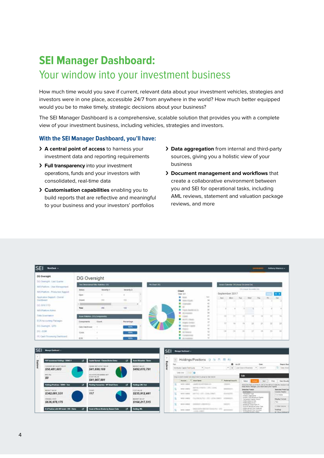## **SEI Manager Dashboard:**

### Your window into your investment business

How much time would you save if current, relevant data about your investment vehicles, strategies and investors were in one place, accessible 24/7 from anywhere in the world? How much better equipped would you be to make timely, strategic decisions about your business?

The SEI Manager Dashboard is a comprehensive, scalable solution that provides you with a complete view of your investment business, including vehicles, strategies and investors.

#### **With the SEI Manager Dashboard, you'll have:**

- › **A central point of access** to harness your investment data and reporting requirements
- › **Full transparency** into your investment operations, funds and your investors with consolidated, real-time data
- › **Customisation capabilities** enabling you to build reports that are reflective and meaningful to your business and your investors' portfolios
- › **Data aggregation** from internal and third-party sources, giving you a holistic view of your business
- › **Document management and workflows** that create a collaborative environment between you and SEI for operational tasks, including AML reviews, statement and valuation package reviews, and more

| DG Oversight                                                      | DG Oversight                         |                                       |                                              |                    |                                                                        |                                               |                                        |                     |                                                                                                                     |                |                    |                                                                                                           |
|-------------------------------------------------------------------|--------------------------------------|---------------------------------------|----------------------------------------------|--------------------|------------------------------------------------------------------------|-----------------------------------------------|----------------------------------------|---------------------|---------------------------------------------------------------------------------------------------------------------|----------------|--------------------|-----------------------------------------------------------------------------------------------------------|
| DO Oversight - Last Guarton                                       | Two Demonstrat Filter Highlines, CEL |                                       |                                              | <b>Rethan DO</b>   |                                                                        |                                               | man Catchia: DG (tone Ocume) Onl       |                     |                                                                                                                     |                |                    |                                                                                                           |
| 1925 Platform - Otan Management                                   |                                      |                                       |                                              |                    |                                                                        |                                               |                                        |                     | SG-Insue Governed Driv                                                                                              |                |                    |                                                                                                           |
| <b>Ibis Piphoti - Production Support</b>                          | <b>Tistus</b>                        | Excertip-1                            | firmery-2                                    |                    | <b>Client</b><br>Rated 12/1                                            |                                               | September 2017                         |                     |                                                                                                                     |                |                    |                                                                                                           |
| Approators Support - Overall<br>DesWeisert                        | Open:<br>Closed                      | ÷<br>100                              | ٠<br>4.91                                    |                    | <b>IR</b> - House<br><b>N</b> macricule                                | 101<br>38.                                    | Bark.<br>Alkers                        | Tue.<br>. .         | <b>Vited</b>                                                                                                        | The            | 36.                | $3$                                                                                                       |
| DG 30% YTS                                                        |                                      |                                       | ٠                                            |                    | <b>R</b> installe                                                      | $\frac{1}{2}$<br>36                           |                                        |                     |                                                                                                                     |                |                    |                                                                                                           |
| <b>IAS Platford Almin</b>                                         | Total                                | 286                                   | tit                                          |                    | $\blacksquare$<br>To reach the filling to the<br><b>B</b> domain       | $10^{\circ}$<br>$\overline{14}$               |                                        | ٠                   |                                                                                                                     |                |                    |                                                                                                           |
| <b>Tista Doemwick</b>                                             | sar Stanle + OG Componential         |                                       |                                              |                    | <b>B</b> cases<br><b>B</b> Active made                                 | $\overline{27}$<br>$\rightarrow$              | $12^{1}$                               | m<br>t              | и                                                                                                                   | 14             | ж                  | THE.                                                                                                      |
| <b>ECR Accounting Packages</b><br>DO Oversign, GTD                | Comportants<br>Statia Villanmissioni | <b>Count</b>                          | Pertantinge<br><b>RENL</b>                   |                    | 2 mark texto<br><b>B</b> Instrume County                               | 12<br><b>TT</b>                               | ы                                      | m<br>15.            | $\Box$                                                                                                              | и              | Ħ                  | $\mathbb{Z}^2$                                                                                            |
| DG-EDM                                                            | <b>TEXAS</b>                         |                                       | 100%                                         |                    | $1 - 1$<br><b>E</b> methods                                            | $\frac{1}{2}$<br>32                           | $\rightarrow$                          | ×<br>$\mathbb{R}^n$ | 11                                                                                                                  | bit.           | 26.                |                                                                                                           |
| PE Cash Processing Stephboard.                                    | ECR:                                 |                                       |                                              |                    | <b>B</b> Construction                                                  | $\overline{12}$                               |                                        |                     |                                                                                                                     |                |                    |                                                                                                           |
|                                                                   |                                      |                                       | <b>KON</b>                                   |                    | <b>B</b> determine                                                     | 71                                            |                                        |                     |                                                                                                                     |                |                    |                                                                                                           |
| Manager Darthuard -<br>PDF Investment Hubblegs - DEMO 3           | $\mathbf{r}$                         | Capital Spread - Classes/Scribs Deers | <b>Asin Allocation - Dema</b><br>œ           | SEI                | Mexger Delibered<br>Holdings/Positions (2 % 2) (5 c)<br>3              |                                               |                                        |                     |                                                                                                                     |                |                    |                                                                                                           |
| <b>ISEI</b><br>g<br>CONVERT 49 7 A LOCK VALUE                     |                                      | expose, and Additive stream           |                                              |                    | tu:                                                                    |                                               |                                        | <b>8</b> - As DF    |                                                                                                                     | <b>Special</b> |                    | <b>Report fixe</b>                                                                                        |
| \$50,481,603                                                      |                                      | \$41,699,169                          | <b>SHOWTHOUT</b><br>\$492,070,791            | <b>Explor</b><br>٠ | Hormule Capita Territoria                                              | * Elisanti.                                   |                                        |                     | .   Last Cone of Russian   MOOST                                                                                    |                |                    | (2) they row                                                                                              |
| <b>WED PAL</b>                                                    |                                      | ADJUSTED RESINING ATT                 |                                              |                    | <b>Liab Card 11/10/10/11 40</b>                                        |                                               |                                        |                     |                                                                                                                     |                |                    |                                                                                                           |
| S0                                                                | ASSET MAJOR                          | \$41,907,991                          |                                              |                    | Thing its columns furnished will be form to get up the chair of buring |                                               |                                        | Tak                 |                                                                                                                     |                |                    |                                                                                                           |
| î<br><b><i><u><u> Kalings Francesco - DEMO - Tool</u></u></i></b> | u.                                   | enting Transaction 197 Detail Deans   | σ                                            |                    | Assock  T lease have<br>castle on aircrack co-<br>Territo 4 codest     |                                               | 7. Preferred (co.d.)E<br><b>SCHOOL</b> |                     | Sekot                                                                                                               |                | <b>Sect</b><br>The | <b>These Massello</b><br>Splech this field pay in the fit will set the left will make the interest client |
| <b>MATHEMATICAL</b>                                               | <b>TEMP</b>                          |                                       | <b>Noblespi 301 Test</b><br><b>EGET MAAR</b> |                    | welch a capacity<br><b>STATE</b>                                       | and the computers and the condition           | alternative to                         |                     | Avec Rose (Rengel, Joo montake prel learn).<br>Selected Fields                                                      |                |                    | <b>Selected Ford Co.</b>                                                                                  |
| \$342,081,531                                                     | 117                                  |                                       | \$235,912,441                                |                    | WHILE 4 00000                                                          | WE RE ARR CON LIGHT                           | disposant child                        |                     | <b>EXHIBITION</b><br><b>Greatfull</b> Tree                                                                          |                |                    | Catalin Heath?<br>Fund future                                                                             |
| <b>INGRALTITI</b>                                                 |                                      |                                       | <b>MAXIMUST SACURE</b>                       |                    | MOST LIKELY                                                            | The Colorador Mark 1999 - Letters Colorador 1 | <b>The Second Control</b>              |                     | <b>SHARED LIQUE RATIO</b><br>Inspire Law Engineer Eights<br>Transacture Cautie Innisott                             |                |                    | <b>Ellipha Furnat</b>                                                                                     |
| \$636,978,175                                                     |                                      |                                       | \$164,217,515                                |                    | <b>WHEN A LOWEST</b><br>Commercial Commercial Ave.                     |                                               | <b>SERVICE</b>                         |                     | 7/45/c/240a (5788)<br>PINNA Dubua (3.1211)<br><b>Banahrak Dunia Floris III</b><br>Fords PV Wendfinite Crame: Travel |                |                    | Taxi.<br>1984 DAIMY                                                                                       |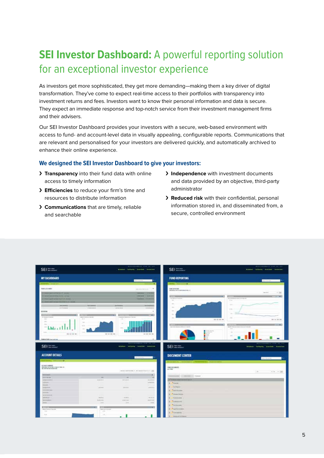### **SEI Investor Dashboard:** A powerful reporting solution for an exceptional investor experience

As investors get more sophisticated, they get more demanding—making them a key driver of digital transformation. They've come to expect real-time access to their portfolios with transparency into investment returns and fees. Investors want to know their personal information and data is secure. They expect an immediate response and top-notch service from their investment management firms and their advisers.

Our SEI Investor Dashboard provides your investors with a secure, web-based environment with access to fund- and account-level data in visually appealing, configurable reports. Communications that are relevant and personalised for your investors are delivered quickly, and automatically archived to enhance their online experience.

#### **We designed the SEI Investor Dashboard to give your investors:**

- › **Transparency** into their fund data with online access to timely information
- › **Efficiencies** to reduce your firm's time and resources to distribute information
- › **Communications** that are timely, reliable and searchable
- › **Independence** with investment documents and data provided by an objective, third-party administrator
- › **Reduced risk** with their confidential, personal information stored in, and disseminated from, a secure, controlled environment

| SEI ==                                                                                  |                                                                                                | -<br><b>Mission - Indiana - Insurant - Insurance</b> | provide the boats company and              | SEI HIML                                                                                                                        | determinants or with the col-<br>Alakad / Inforty - Avenue - Support                                                           |
|-----------------------------------------------------------------------------------------|------------------------------------------------------------------------------------------------|------------------------------------------------------|--------------------------------------------|---------------------------------------------------------------------------------------------------------------------------------|--------------------------------------------------------------------------------------------------------------------------------|
| <b>MY DASHBOARD</b>                                                                     |                                                                                                |                                                      | --                                         | <b>FUND REPORTING</b>                                                                                                           | $-$                                                                                                                            |
|                                                                                         |                                                                                                |                                                      | o                                          | œ                                                                                                                               |                                                                                                                                |
|                                                                                         |                                                                                                |                                                      |                                            |                                                                                                                                 |                                                                                                                                |
| THREE A ROOMERS                                                                         |                                                                                                |                                                      | $\sim$<br><b>Service Products</b>          | 10013-74726<br><b>RANGERS WITH SIMPLESSION FOR LLC</b>                                                                          |                                                                                                                                |
|                                                                                         |                                                                                                |                                                      | <b>STATISTICS</b><br>--<br>---             | <b>STATISTICS</b>                                                                                                               | $1 - 246$<br><b>Section</b><br><b>STAR</b>                                                                                     |
| <b><i><u>ALCOHOL: A ALCOHOL: NAME</u></i></b>                                           |                                                                                                |                                                      |                                            | $100 - 400 + 400 + 400 + 400$<br>$\frac{1}{2} \left( \frac{1}{2} \right) \left( \frac{1}{2} \right) \left( \frac{1}{2} \right)$ | Analysis and the author dis-<br>$\frac{1}{2} \left( \frac{1}{2} \right) \left( \frac{1}{2} \right) \left( \frac{1}{2} \right)$ |
|                                                                                         |                                                                                                |                                                      |                                            | $\sim$                                                                                                                          | -                                                                                                                              |
| <b>SECRETS</b><br>politicans.                                                           | 3-24-444                                                                                       | The War Brown<br>winnings.                           | <b>Fed Dentifierers</b><br><b>STANDARD</b> | <b>Service</b>                                                                                                                  |                                                                                                                                |
| <b>MADE THE</b>                                                                         |                                                                                                |                                                      | $\sim$                                     | <b>Service</b>                                                                                                                  | TOM-                                                                                                                           |
|                                                                                         | <b>Company</b>                                                                                 | <b>REGISTER</b>                                      | $-1$                                       | $\sim$                                                                                                                          | <b>Service</b>                                                                                                                 |
| жı<br>the form as an according office.                                                  | most important and                                                                             | comment between the dealers.                         |                                            |                                                                                                                                 |                                                                                                                                |
| $\frac{1}{2} \left( \frac{1}{2} \right) \left( \frac{1}{2} \right)$<br>m                | $\frac{1}{2} \left( \frac{1}{2} \right) \left( \frac{1}{2} \right)$                            | 14                                                   |                                            |                                                                                                                                 | <b>COLORED AND</b><br><b>DE 9. 22 DE</b>                                                                                       |
| $\sim$                                                                                  | $\sim$                                                                                         |                                                      |                                            |                                                                                                                                 |                                                                                                                                |
|                                                                                         | -                                                                                              |                                                      |                                            | <b>ALCOHOL: NORTH</b><br>Concertainty Service is the state of the Service                                                       | MD.<br>11.40<br><b>Brooklynn Wood Bills</b><br>Bolly Introducing a dop and this dis-                                           |
| $\sim$ khkr $\sim$ 1.1.1                                                                | $\sim$                                                                                         |                                                      |                                            |                                                                                                                                 | . one<br><b>STATISTICS</b>                                                                                                     |
| -<br><b>PE IS 21 96</b>                                                                 | 2012/05/05                                                                                     |                                                      | for star last and                          | or fun-<br>$-100$                                                                                                               |                                                                                                                                |
|                                                                                         |                                                                                                |                                                      |                                            |                                                                                                                                 |                                                                                                                                |
| <b>NAME OF GROOM</b>                                                                    |                                                                                                |                                                      |                                            |                                                                                                                                 |                                                                                                                                |
|                                                                                         |                                                                                                |                                                      |                                            |                                                                                                                                 |                                                                                                                                |
| SEI ===                                                                                 |                                                                                                | <b>Mission Catherine Coupons - Inspection</b>        |                                            | $SEI \cong 2$                                                                                                                   | <b>Scholard Entiquity Stration Councilson</b>                                                                                  |
| <b>ACCOUNT DETAILS</b>                                                                  |                                                                                                |                                                      |                                            | <b>DOCUMENT CENTER</b>                                                                                                          |                                                                                                                                |
|                                                                                         |                                                                                                |                                                      | - 19<br>and the same state.                |                                                                                                                                 | Parent Governor                                                                                                                |
| --                                                                                      |                                                                                                |                                                      |                                            |                                                                                                                                 |                                                                                                                                |
| ALCOHOL: JORNARY                                                                        |                                                                                                |                                                      |                                            |                                                                                                                                 |                                                                                                                                |
| RECENT STATE BOOTSHIP FREUD                                                             |                                                                                                |                                                      |                                            | TOND DISCUSSION TO:<br>ALCOHOL:                                                                                                 |                                                                                                                                |
|                                                                                         |                                                                                                | WELL-ASSESSED FOR A SERIES AND RESIDENCE.            |                                            |                                                                                                                                 | $400 + 100$<br>$\overline{a}$                                                                                                  |
| <b>Services</b>                                                                         |                                                                                                |                                                      | œ.                                         | yes and I would be a                                                                                                            |                                                                                                                                |
| <b>WELL-BENE</b><br><b>NEW YORK COMPANY</b>                                             | $\sim$<br><b>Marketing</b>                                                                     | <b>MARINE</b>                                        | $\sim$                                     |                                                                                                                                 |                                                                                                                                |
| <b>STERNES</b>                                                                          |                                                                                                |                                                      | Windowell St.<br>or mensure.               | <b>These entrepetition</b>                                                                                                      |                                                                                                                                |
| <b>Immit</b>                                                                            |                                                                                                |                                                      |                                            | <b>Thomas</b>                                                                                                                   |                                                                                                                                |
| <b>SHEARTH</b>                                                                          | <b>Bally</b>                                                                                   | ancientas                                            | <b>Williams</b>                            | <b>Section</b>                                                                                                                  |                                                                                                                                |
| ____                                                                                    |                                                                                                |                                                      |                                            | <b><i><u>Takiman</u></i></b>                                                                                                    |                                                                                                                                |
| --                                                                                      |                                                                                                |                                                      |                                            | Palmer Direct                                                                                                                   |                                                                                                                                |
| econolation<br>amming.                                                                  | <b>UNITED</b><br>Alberta                                                                       | Atama                                                | <b>PLANE</b>                               |                                                                                                                                 |                                                                                                                                |
| <b>Second Robert</b>                                                                    | <b>Williams</b>                                                                                | a blank                                              | all advised                                | <b>Administration</b>                                                                                                           |                                                                                                                                |
| <b>Amid</b>                                                                             | $\frac{1}{2}$                                                                                  | $\sim$                                               | $-1$                                       | <b>Allegen and</b>                                                                                                              |                                                                                                                                |
|                                                                                         |                                                                                                |                                                      |                                            | <b><i><u>Painting</u></i></b>                                                                                                   |                                                                                                                                |
| <b>Black College &amp; D Wa (81)</b>                                                    | $-200$<br><b>Report Follows</b>                                                                |                                                      | <b>MAC</b>                                 | <b><i>Page Secretary</i></b>                                                                                                    |                                                                                                                                |
| $\frac{1}{2} \left( \frac{1}{2} \right) \left( \frac{1}{2} \right)$<br>$\Delta\Delta t$ | $\frac{1}{2} \left( \frac{1}{2} \right) \left( \frac{1}{2} \right) \left( \frac{1}{2} \right)$ |                                                      |                                            | <b><i>Provinces</i></b>                                                                                                         |                                                                                                                                |